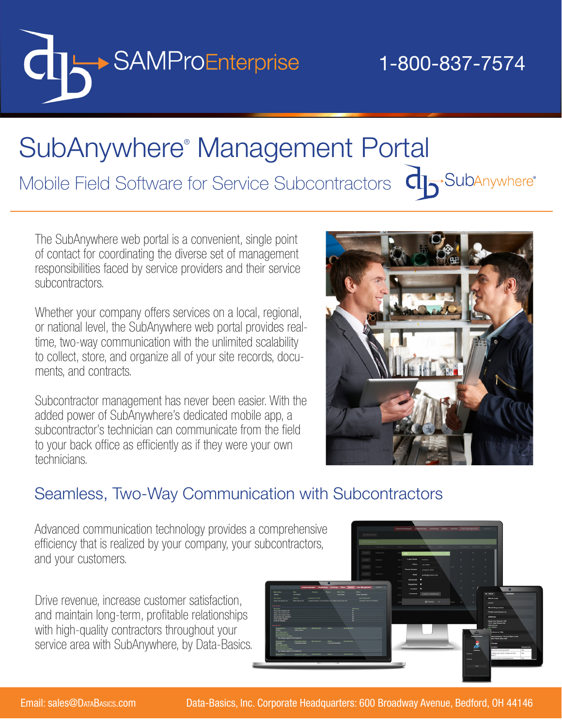

## Mobile Field Software for Service Subcontractors  $\Box$ SubAnywhere® Management Portal

The SubAnywhere web portal is a convenient, single point of contact for coordinating the diverse set of management responsibilities faced by service providers and their service subcontractors.

Whether your company offers services on a local, regional, or national level, the SubAnywhere web portal provides realtime, two-way communication with the unlimited scalability to collect, store, and organize all of your site records, documents, and contracts.

Subcontractor management has never been easier. With the added power of SubAnywhere's dedicated mobile app, a subcontractor's technician can communicate from the field to your back office as efficiently as if they were your own technicians.



#### Seamless, Two-Way Communication with Subcontractors

Advanced communication technology provides a comprehensive efficiency that is realized by your company, your subcontractors, and your customers.

Drive revenue, increase customer satisfaction, and maintain long-term, profitable relationships with high-quality contractors throughout your service area with SubAnywhere, by Data-Basics.